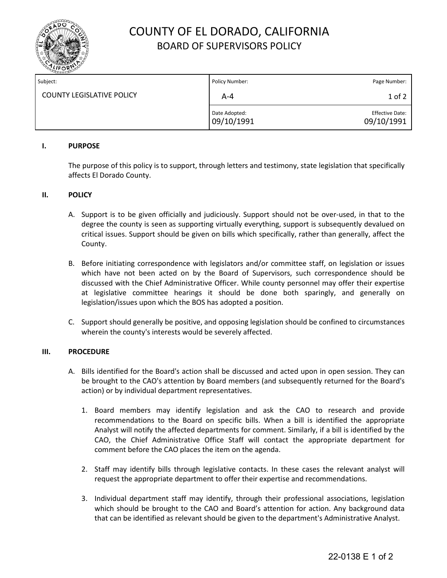

# COUNTY OF EL DORADO, CALIFORNIA BOARD OF SUPERVISORS POLICY

| Subject:                         | Policy Number:              | Page Number:                         |
|----------------------------------|-----------------------------|--------------------------------------|
| <b>COUNTY LEGISLATIVE POLICY</b> | A-4                         | 1 of 2                               |
|                                  | Date Adopted:<br>09/10/1991 | <b>Effective Date:</b><br>09/10/1991 |

### **I. PURPOSE**

The purpose of this policy is to support, through letters and testimony, state legislation that specifically affects El Dorado County.

#### **II. POLICY**

- A. Support is to be given officially and judiciously. Support should not be over-used, in that to the degree the county is seen as supporting virtually everything, support is subsequently devalued on critical issues. Support should be given on bills which specifically, rather than generally, affect the County.
- B. Before initiating correspondence with legislators and/or committee staff, on legislation or issues which have not been acted on by the Board of Supervisors, such correspondence should be discussed with the Chief Administrative Officer. While county personnel may offer their expertise at legislative committee hearings it should be done both sparingly, and generally on legislation/issues upon which the BOS has adopted a position.
- C. Support should generally be positive, and opposing legislation should be confined to circumstances wherein the county's interests would be severely affected.

#### **III. PROCEDURE**

- A. Bills identified for the Board's action shall be discussed and acted upon in open session. They can be brought to the CAO's attention by Board members (and subsequently returned for the Board's action) or by individual department representatives.
	- 1. Board members may identify legislation and ask the CAO to research and provide recommendations to the Board on specific bills. When a bill is identified the appropriate Analyst will notify the affected departments for comment. Similarly, if a bill is identified by the CAO, the Chief Administrative Office Staff will contact the appropriate department for comment before the CAO places the item on the agenda.
	- 2. Staff may identify bills through legislative contacts. In these cases the relevant analyst will request the appropriate department to offer their expertise and recommendations.
	- 3. Individual department staff may identify, through their professional associations, legislation which should be brought to the CAO and Board's attention for action. Any background data that can be identified as relevant should be given to the department's Administrative Analyst.